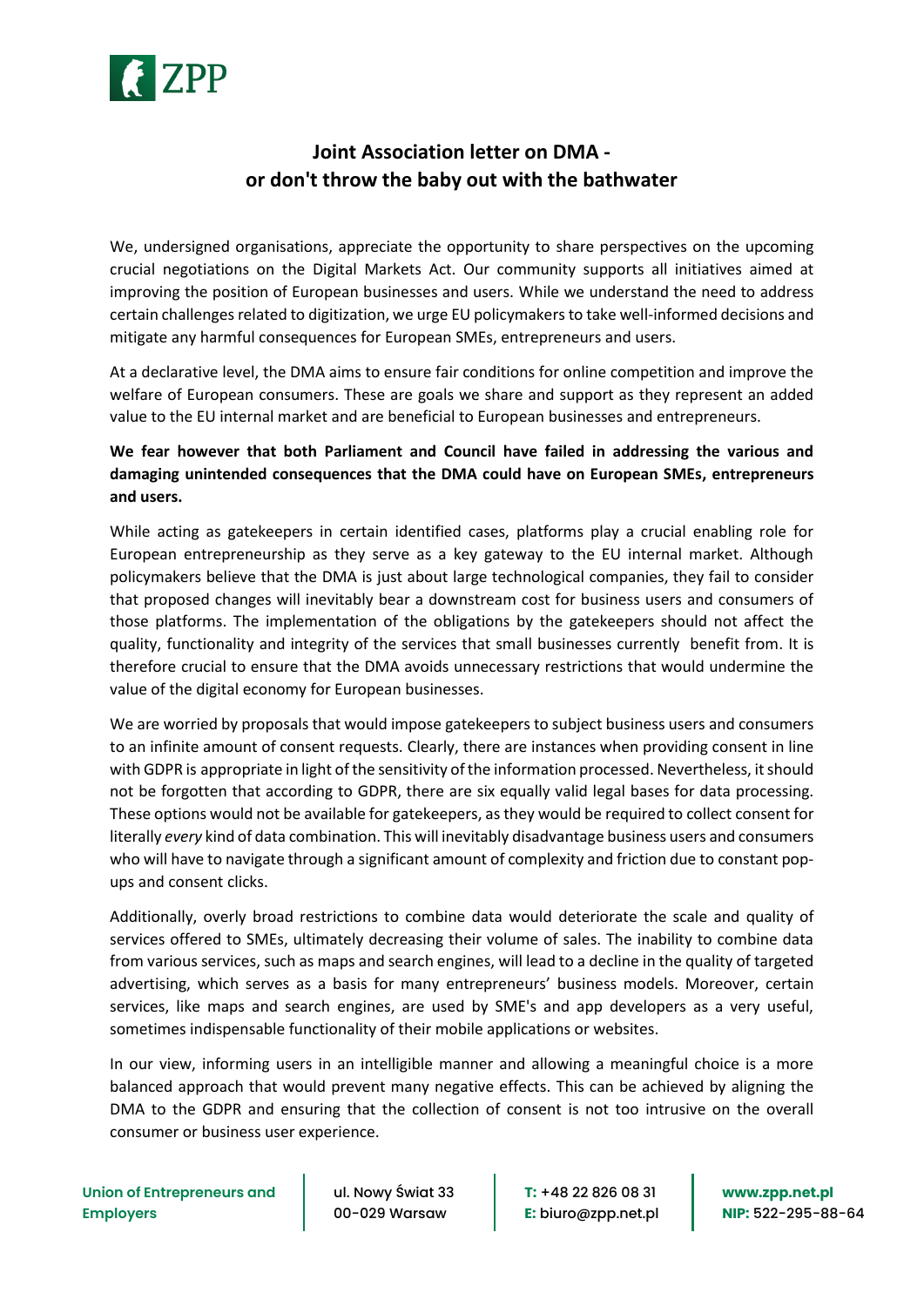

## **Joint Association letter on DMA or don't throw the baby out with the bathwater**

We, undersigned organisations, appreciate the opportunity to share perspectives on the upcoming crucial negotiations on the Digital Markets Act. Our community supports all initiatives aimed at improving the position of European businesses and users. While we understand the need to address certain challenges related to digitization, we urge EU policymakers to take well-informed decisions and mitigate any harmful consequences for European SMEs, entrepreneurs and users.

At a declarative level, the DMA aims to ensure fair conditions for online competition and improve the welfare of European consumers. These are goals we share and support as they represent an added value to the EU internal market and are beneficial to European businesses and entrepreneurs.

## **We fear however that both Parliament and Council have failed in addressing the various and damaging unintended consequences that the DMA could have on European SMEs, entrepreneurs and users.**

While acting as gatekeepers in certain identified cases, platforms play a crucial enabling role for European entrepreneurship as they serve as a key gateway to the EU internal market. Although policymakers believe that the DMA is just about large technological companies, they fail to consider that proposed changes will inevitably bear a downstream cost for business users and consumers of those platforms. The implementation of the obligations by the gatekeepers should not affect the quality, functionality and integrity of the services that small businesses currently benefit from. It is therefore crucial to ensure that the DMA avoids unnecessary restrictions that would undermine the value of the digital economy for European businesses.

We are worried by proposals that would impose gatekeepers to subject business users and consumers to an infinite amount of consent requests. Clearly, there are instances when providing consent in line with GDPR is appropriate in light of the sensitivity of the information processed. Nevertheless, it should not be forgotten that according to GDPR, there are six equally valid legal bases for data processing. These options would not be available for gatekeepers, as they would be required to collect consent for literally *every* kind of data combination. This will inevitably disadvantage business users and consumers who will have to navigate through a significant amount of complexity and friction due to constant popups and consent clicks.

Additionally, overly broad restrictions to combine data would deteriorate the scale and quality of services offered to SMEs, ultimately decreasing their volume of sales. The inability to combine data from various services, such as maps and search engines, will lead to a decline in the quality of targeted advertising, which serves as a basis for many entrepreneurs' business models. Moreover, certain services, like maps and search engines, are used by SME's and app developers as a very useful, sometimes indispensable functionality of their mobile applications or websites.

In our view, informing users in an intelligible manner and allowing a meaningful choice is a more balanced approach that would prevent many negative effects. This can be achieved by aligning the DMA to the GDPR and ensuring that the collection of consent is not too intrusive on the overall consumer or business user experience.

ul. Nowy Świat 33 00-029 Warsaw

**T:** +48 22 826 08 31 **E:** biuro@zpp.net.pl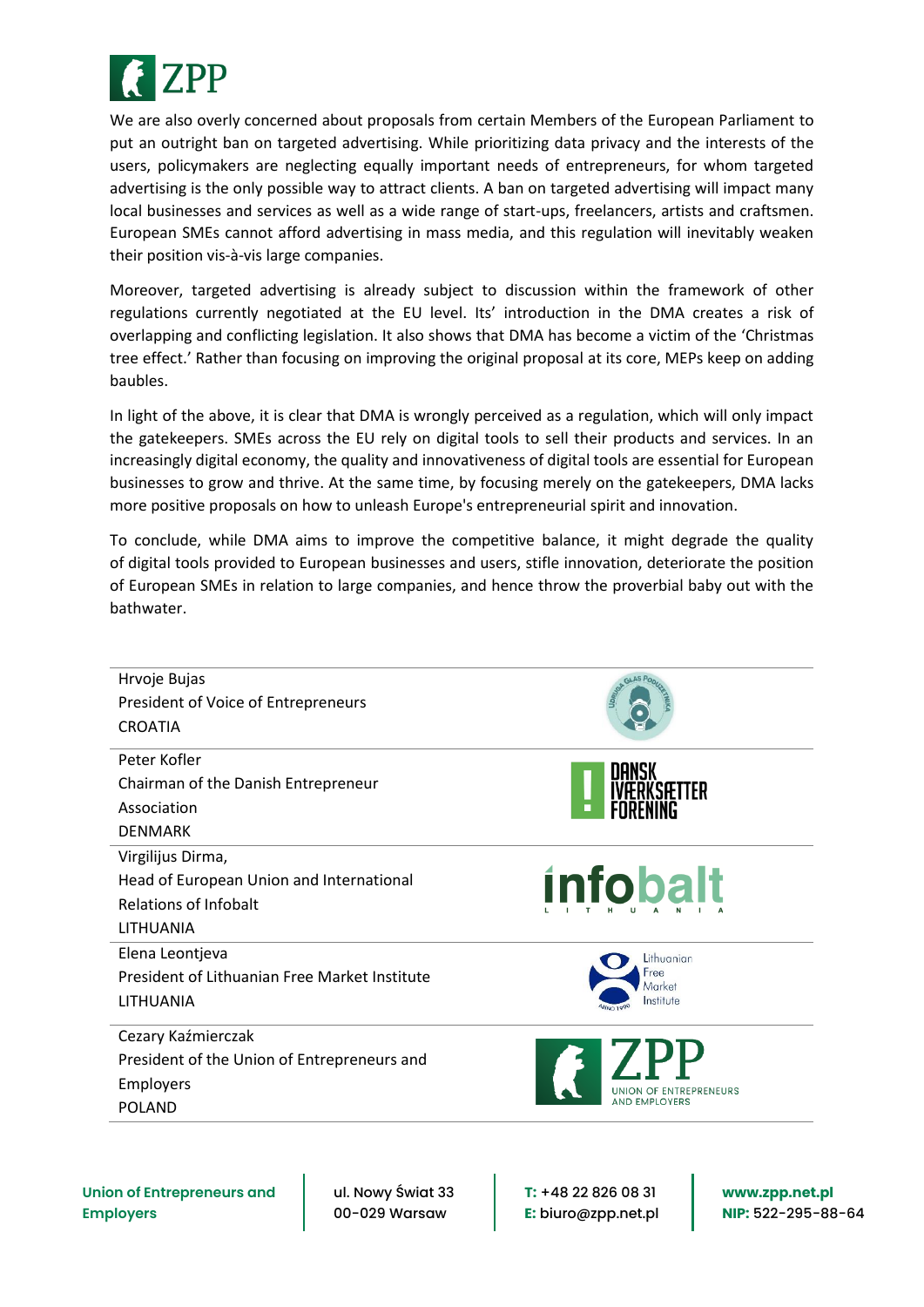

We are also overly concerned about proposals from certain Members of the European Parliament to put an outright ban on targeted advertising. While prioritizing data privacy and the interests of the users, policymakers are neglecting equally important needs of entrepreneurs, for whom targeted advertising is the only possible way to attract clients. A ban on targeted advertising will impact many local businesses and services as well as a wide range of start-ups, freelancers, artists and craftsmen. European SMEs cannot afford advertising in mass media, and this regulation will inevitably weaken their position vis-à-vis large companies.

Moreover, targeted advertising is already subject to discussion within the framework of other regulations currently negotiated at the EU level. Its' introduction in the DMA creates a risk of overlapping and conflicting legislation. It also shows that DMA has become a victim of the 'Christmas tree effect.' Rather than focusing on improving the original proposal at its core, MEPs keep on adding baubles.

In light of the above, it is clear that DMA is wrongly perceived as a regulation, which will only impact the gatekeepers. SMEs across the EU rely on digital tools to sell their products and services. In an increasingly digital economy, the quality and innovativeness of digital tools are essential for European businesses to grow and thrive. At the same time, by focusing merely on the gatekeepers, DMA lacks more positive proposals on how to unleash Europe's entrepreneurial spirit and innovation.

To conclude, while DMA aims to improve the competitive balance, it might degrade the quality of digital tools provided to European businesses and users, stifle innovation, deteriorate the position of European SMEs in relation to large companies, and hence throw the proverbial baby out with the bathwater.



**Union of Entrepreneurs and Employers**

ul. Nowy Świat 33 00-029 Warsaw

**T:** +48 22 826 08 31 **E:** biuro@zpp.net.pl **www.zpp.net.pl NIP:** 522-295-88-64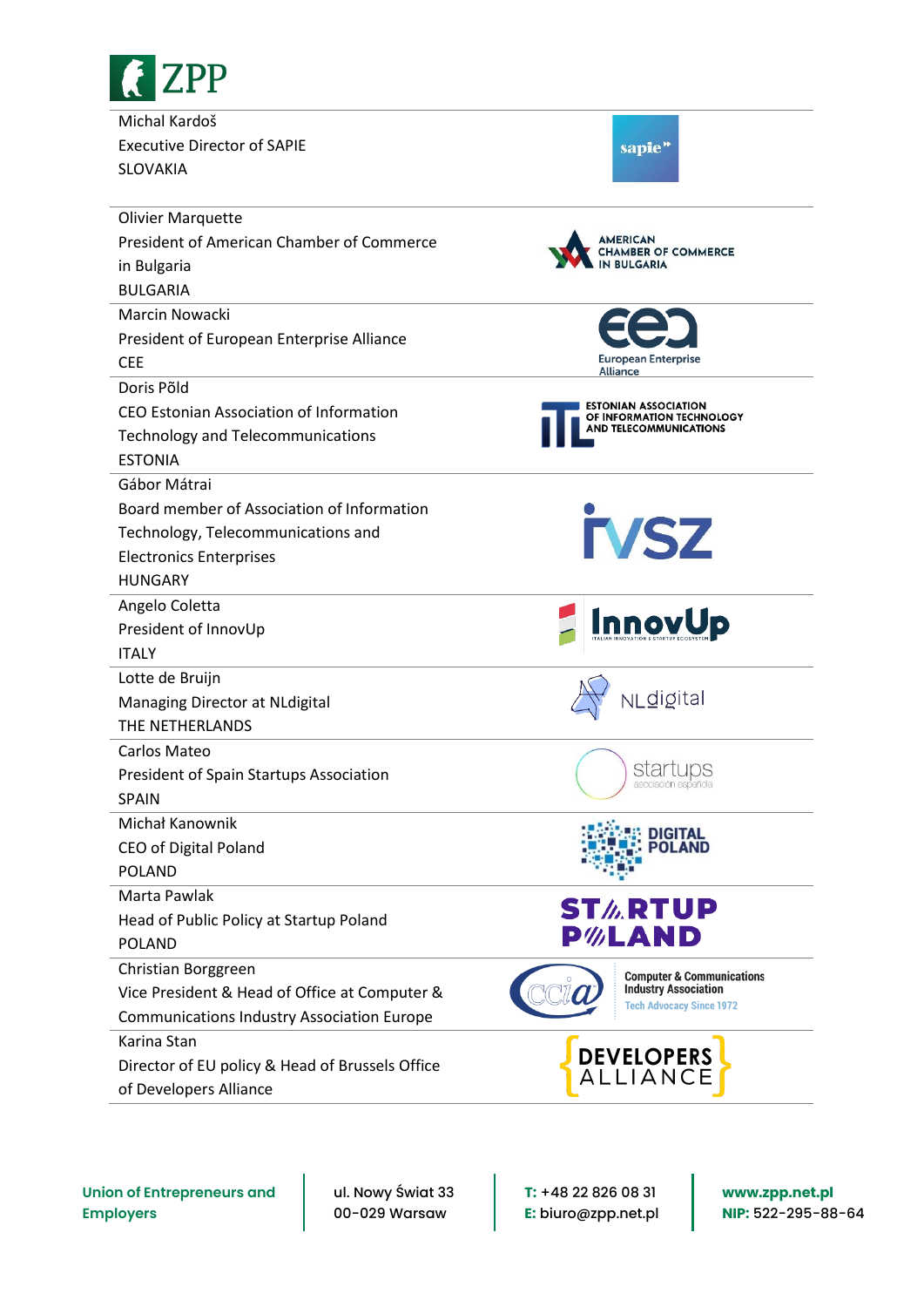

Michal Kardoš Executive Director of SAPIE SLOVAKIA

| <b>AMERICAN</b> |  |  |
|-----------------|--|--|

sapie<sup>"</sup>

| <b>Olivier Marquette</b>                          |                                                                |  |
|---------------------------------------------------|----------------------------------------------------------------|--|
| President of American Chamber of Commerce         | AMERICAN<br><b>AMBER OF COMMERCE</b>                           |  |
| in Bulgaria                                       |                                                                |  |
| <b>BULGARIA</b>                                   |                                                                |  |
| Marcin Nowacki                                    |                                                                |  |
| President of European Enterprise Alliance         |                                                                |  |
| <b>CEE</b>                                        | <b>European Enterprise</b><br>Alliance                         |  |
| Doris Põld                                        |                                                                |  |
| CEO Estonian Association of Information           | <b>ESTONIAN ASSOCIATION</b><br>OF INFORMATION TECHNOLOGY       |  |
| <b>Technology and Telecommunications</b>          | <b>AND TELECOMMUNICATIONS</b>                                  |  |
| <b>ESTONIA</b>                                    |                                                                |  |
| Gábor Mátrai                                      |                                                                |  |
| Board member of Association of Information        |                                                                |  |
| Technology, Telecommunications and                | <b>TVSZ</b>                                                    |  |
| <b>Electronics Enterprises</b>                    |                                                                |  |
| <b>HUNGARY</b>                                    |                                                                |  |
| Angelo Coletta                                    |                                                                |  |
| President of InnovUp                              | <b>InnovUp</b>                                                 |  |
| <b>ITALY</b>                                      |                                                                |  |
| Lotte de Bruijn                                   |                                                                |  |
| Managing Director at NLdigital                    | NLdigital                                                      |  |
| THE NETHERLANDS                                   |                                                                |  |
| Carlos Mateo                                      |                                                                |  |
| President of Spain Startups Association           | startups                                                       |  |
| <b>SPAIN</b>                                      |                                                                |  |
| Michał Kanownik                                   | DIGITAL                                                        |  |
| CEO of Digital Poland                             | POI AND                                                        |  |
| <b>POLAND</b>                                     |                                                                |  |
| Marta Pawlak                                      | <b>ST<i>I</i></b> .RTUP                                        |  |
| Head of Public Policy at Startup Poland           |                                                                |  |
| <b>POLAND</b>                                     | P%LAND                                                         |  |
| Christian Borggreen                               | <b>Computer &amp; Communications</b>                           |  |
| Vice President & Head of Office at Computer &     | <b>Industry Association</b><br><b>Tech Advocacy Since 1972</b> |  |
| <b>Communications Industry Association Europe</b> |                                                                |  |
| Karina Stan                                       |                                                                |  |
| Director of EU policy & Head of Brussels Office   | <b>DEVELOPERS</b><br><b>ALLIANCE</b>                           |  |
| of Developers Alliance                            |                                                                |  |

**Union of Entrepreneurs and Employers**

ul. Nowy Świat 33 00-029 Warsaw

**T:** +48 22 826 08 31 **E:** biuro@zpp.net.pl **www.zpp.net.pl NIP:** 522-295-88-64